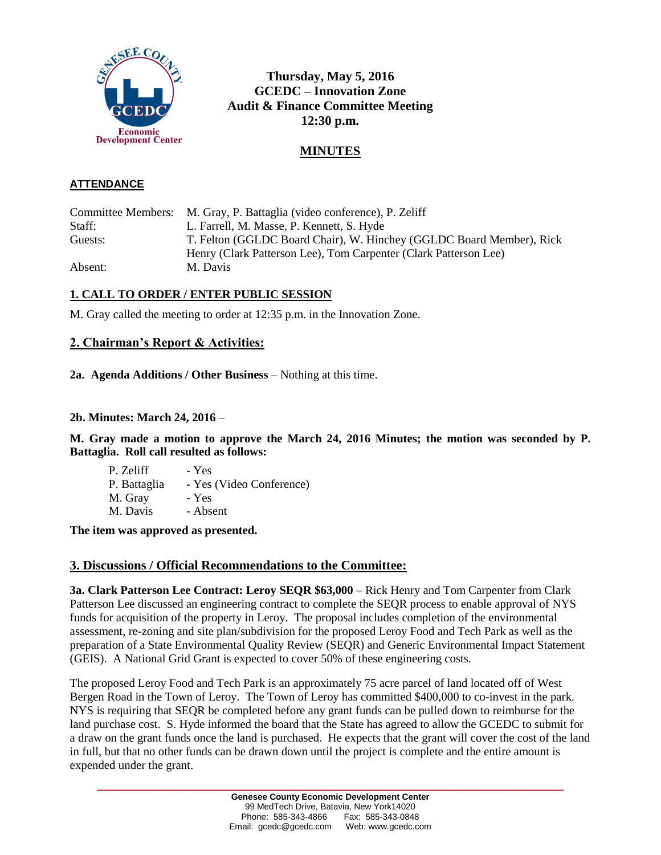

**Thursday, May 5, 2016 GCEDC – Innovation Zone Audit & Finance Committee Meeting 12:30 p.m.**

# **MINUTES**

### **ATTENDANCE**

Committee Members: M. Gray, P. Battaglia (video conference), P. Zeliff Staff: L. Farrell, M. Masse, P. Kennett, S. Hyde Guests: T. Felton (GGLDC Board Chair), W. Hinchey (GGLDC Board Member), Rick Henry (Clark Patterson Lee), Tom Carpenter (Clark Patterson Lee) Absent: M. Davis

# **1. CALL TO ORDER / ENTER PUBLIC SESSION**

M. Gray called the meeting to order at 12:35 p.m. in the Innovation Zone.

# **2. Chairman's Report & Activities:**

**2a. Agenda Additions / Other Business** – Nothing at this time.

#### **2b. Minutes: March 24, 2016** –

**M. Gray made a motion to approve the March 24, 2016 Minutes; the motion was seconded by P. Battaglia. Roll call resulted as follows:**

P. Zeliff - Yes P. Battaglia - Yes (Video Conference) M. Gray - Yes M. Davis - Absent

**The item was approved as presented.**

### **3. Discussions / Official Recommendations to the Committee:**

**3a. Clark Patterson Lee Contract: Leroy SEQR \$63,000** – Rick Henry and Tom Carpenter from Clark Patterson Lee discussed an engineering contract to complete the SEQR process to enable approval of NYS funds for acquisition of the property in Leroy. The proposal includes completion of the environmental assessment, re-zoning and site plan/subdivision for the proposed Leroy Food and Tech Park as well as the preparation of a State Environmental Quality Review (SEQR) and Generic Environmental Impact Statement (GEIS). A National Grid Grant is expected to cover 50% of these engineering costs.

The proposed Leroy Food and Tech Park is an approximately 75 acre parcel of land located off of West Bergen Road in the Town of Leroy. The Town of Leroy has committed \$400,000 to co-invest in the park. NYS is requiring that SEQR be completed before any grant funds can be pulled down to reimburse for the land purchase cost. S. Hyde informed the board that the State has agreed to allow the GCEDC to submit for a draw on the grant funds once the land is purchased. He expects that the grant will cover the cost of the land in full, but that no other funds can be drawn down until the project is complete and the entire amount is expended under the grant.

**\_\_\_\_\_\_\_\_\_\_\_\_\_\_\_\_\_\_\_\_\_\_\_\_\_\_\_\_\_\_\_\_\_\_\_\_\_\_\_\_\_\_\_\_\_\_\_\_\_\_\_\_\_\_\_\_\_\_\_\_\_\_\_\_\_\_\_\_\_\_\_\_**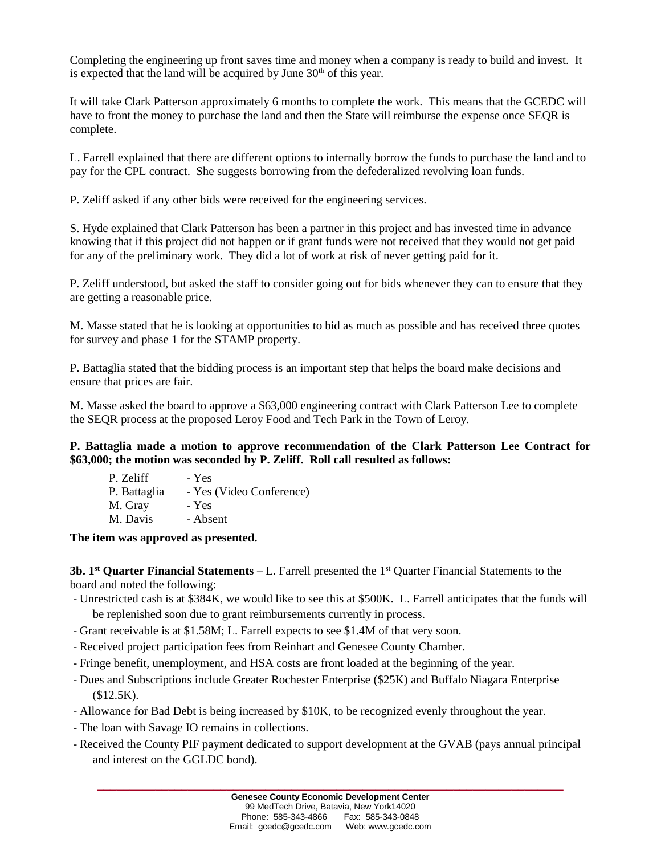Completing the engineering up front saves time and money when a company is ready to build and invest. It is expected that the land will be acquired by June  $30<sup>th</sup>$  of this year.

It will take Clark Patterson approximately 6 months to complete the work. This means that the GCEDC will have to front the money to purchase the land and then the State will reimburse the expense once SEQR is complete.

L. Farrell explained that there are different options to internally borrow the funds to purchase the land and to pay for the CPL contract. She suggests borrowing from the defederalized revolving loan funds.

P. Zeliff asked if any other bids were received for the engineering services.

S. Hyde explained that Clark Patterson has been a partner in this project and has invested time in advance knowing that if this project did not happen or if grant funds were not received that they would not get paid for any of the preliminary work. They did a lot of work at risk of never getting paid for it.

P. Zeliff understood, but asked the staff to consider going out for bids whenever they can to ensure that they are getting a reasonable price.

M. Masse stated that he is looking at opportunities to bid as much as possible and has received three quotes for survey and phase 1 for the STAMP property.

P. Battaglia stated that the bidding process is an important step that helps the board make decisions and ensure that prices are fair.

M. Masse asked the board to approve a \$63,000 engineering contract with Clark Patterson Lee to complete the SEQR process at the proposed Leroy Food and Tech Park in the Town of Leroy.

**P. Battaglia made a motion to approve recommendation of the Clark Patterson Lee Contract for \$63,000; the motion was seconded by P. Zeliff. Roll call resulted as follows:**

| P. Zeliff    | - Yes                    |
|--------------|--------------------------|
| P. Battaglia | - Yes (Video Conference) |
| M. Gray      | - Yes                    |
| M. Davis     | - Absent                 |

**The item was approved as presented.**

**3b. 1<sup>st</sup> Quarter Financial Statements – L. Farrell presented the 1<sup>st</sup> Quarter Financial Statements to the** board and noted the following:

- Unrestricted cash is at \$384K, we would like to see this at \$500K. L. Farrell anticipates that the funds will be replenished soon due to grant reimbursements currently in process.
- Grant receivable is at \$1.58M; L. Farrell expects to see \$1.4M of that very soon.
- Received project participation fees from Reinhart and Genesee County Chamber.
- Fringe benefit, unemployment, and HSA costs are front loaded at the beginning of the year.
- Dues and Subscriptions include Greater Rochester Enterprise (\$25K) and Buffalo Niagara Enterprise  $$12.5K$ ).
- Allowance for Bad Debt is being increased by \$10K, to be recognized evenly throughout the year.
- The loan with Savage IO remains in collections.
- Received the County PIF payment dedicated to support development at the GVAB (pays annual principal and interest on the GGLDC bond).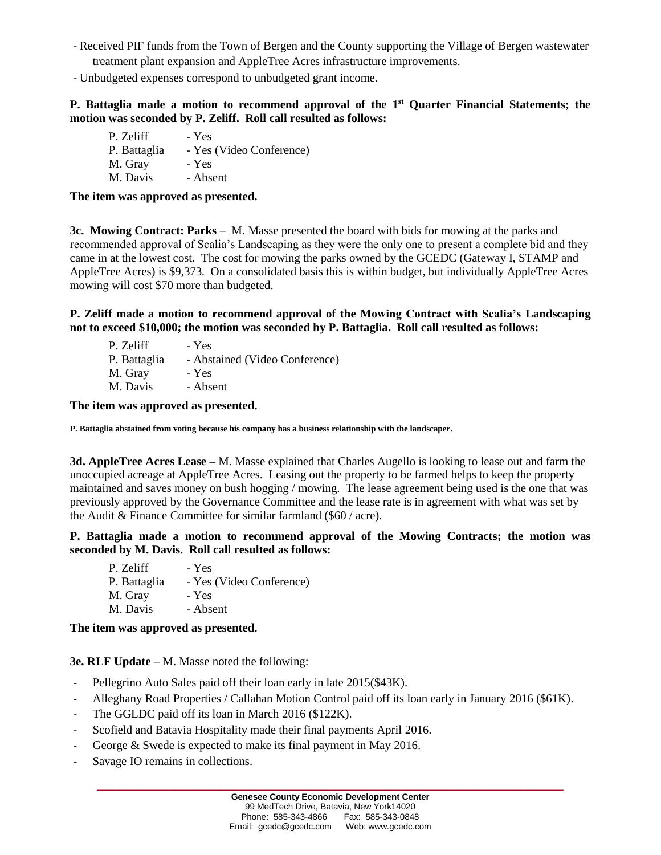- Received PIF funds from the Town of Bergen and the County supporting the Village of Bergen wastewater treatment plant expansion and AppleTree Acres infrastructure improvements.
- Unbudgeted expenses correspond to unbudgeted grant income.

### **P. Battaglia made a motion to recommend approval of the 1 st Quarter Financial Statements; the motion was seconded by P. Zeliff. Roll call resulted as follows:**

P. Zeliff - Yes P. Battaglia - Yes (Video Conference) M. Gray - Yes M. Davis - Absent

**The item was approved as presented.**

**3c. Mowing Contract: Parks** – M. Masse presented the board with bids for mowing at the parks and recommended approval of Scalia's Landscaping as they were the only one to present a complete bid and they came in at the lowest cost. The cost for mowing the parks owned by the GCEDC (Gateway I, STAMP and AppleTree Acres) is \$9,373. On a consolidated basis this is within budget, but individually AppleTree Acres mowing will cost \$70 more than budgeted.

**P. Zeliff made a motion to recommend approval of the Mowing Contract with Scalia's Landscaping not to exceed \$10,000; the motion was seconded by P. Battaglia. Roll call resulted as follows:**

| P. Zeliff    | - Yes                          |
|--------------|--------------------------------|
| P. Battaglia | - Abstained (Video Conference) |
| M. Gray      | - Yes                          |
| M. Davis     | - Absent                       |
|              |                                |

**The item was approved as presented.**

**P. Battaglia abstained from voting because his company has a business relationship with the landscaper.**

**3d. AppleTree Acres Lease –** M. Masse explained that Charles Augello is looking to lease out and farm the unoccupied acreage at AppleTree Acres. Leasing out the property to be farmed helps to keep the property maintained and saves money on bush hogging / mowing. The lease agreement being used is the one that was previously approved by the Governance Committee and the lease rate is in agreement with what was set by the Audit & Finance Committee for similar farmland (\$60 / acre).

**P. Battaglia made a motion to recommend approval of the Mowing Contracts; the motion was seconded by M. Davis. Roll call resulted as follows:**

| P. Zeliff    | - Yes                    |
|--------------|--------------------------|
| P. Battaglia | - Yes (Video Conference) |
| M. Gray      | - Yes                    |
| M. Davis     | - Absent                 |

**The item was approved as presented.**

**3e. RLF Update** – M. Masse noted the following:

- Pellegrino Auto Sales paid off their loan early in late 2015(\$43K).
- Alleghany Road Properties / Callahan Motion Control paid off its loan early in January 2016 (\$61K).
- The GGLDC paid off its loan in March 2016 (\$122K).
- Scofield and Batavia Hospitality made their final payments April 2016.
- George & Swede is expected to make its final payment in May 2016.
- Savage IO remains in collections.